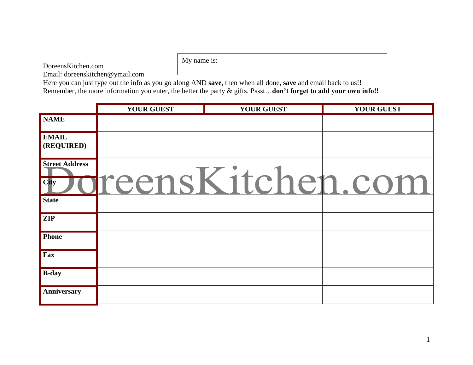DoreensKitchen.com

My name is:

Email: doreenskitchen@ymail.com

Here you can just type out the info as you go along AND **save**, then when all done, **save** and email back to us!! Remember, the more information you enter, the better the party & gifts. Pssst…**don't forget to add your own info!!**

|                            | <b>YOUR GUEST</b> | <b>YOUR GUEST</b> | <b>YOUR GUEST</b> |
|----------------------------|-------------------|-------------------|-------------------|
| <b>NAME</b>                |                   |                   |                   |
| <b>EMAIL</b><br>(REQUIRED) |                   |                   |                   |
| <b>Street Address</b>      |                   |                   |                   |
| City                       |                   | $\overline{a}$    |                   |
| <b>State</b>               |                   |                   |                   |
| $\mathbf{ZIP}$             |                   |                   |                   |
| <b>Phone</b>               |                   |                   |                   |
| Fax                        |                   |                   |                   |
| <b>B-day</b>               |                   |                   |                   |
| Anniversary                |                   |                   |                   |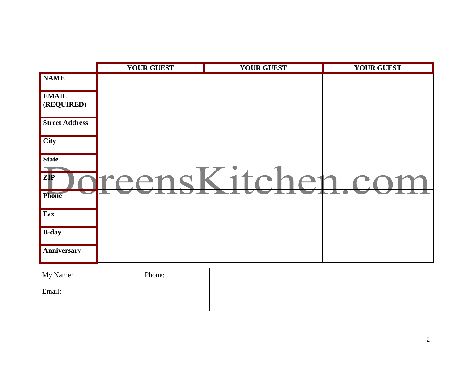|                                  | <b>YOUR GUEST</b> | <b>YOUR GUEST</b>                          | <b>YOUR GUEST</b> |
|----------------------------------|-------------------|--------------------------------------------|-------------------|
| <b>NAME</b>                      |                   |                                            |                   |
| <b>EMAIL</b><br>(REQUIRED)       |                   |                                            |                   |
| <b>Street Address</b>            |                   |                                            |                   |
| <b>City</b>                      |                   |                                            |                   |
| <b>State</b>                     |                   | 0                                          |                   |
| $\overline{ZIP}$<br><b>Phone</b> |                   | $\overline{\phantom{a}}$<br>$\blacksquare$ |                   |
| Fax                              |                   |                                            |                   |
| <b>B-day</b>                     |                   |                                            |                   |
| Anniversary                      |                   |                                            |                   |
|                                  |                   |                                            |                   |

| My Name: | Phone: |
|----------|--------|
| Email:   |        |
|          |        |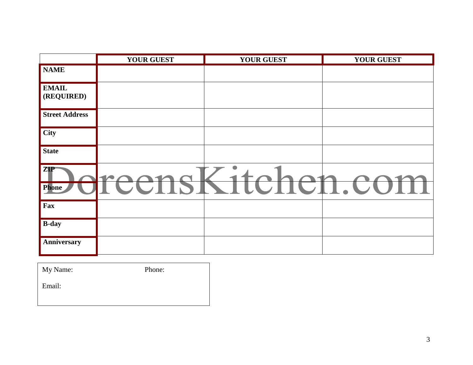|                            | <b>YOUR GUEST</b> | <b>YOUR GUEST</b> | <b>YOUR GUEST</b>  |
|----------------------------|-------------------|-------------------|--------------------|
| <b>NAME</b>                |                   |                   |                    |
| <b>EMAIL</b><br>(REQUIRED) |                   |                   |                    |
| <b>Street Address</b>      |                   |                   |                    |
| <b>City</b>                |                   |                   |                    |
| <b>State</b>               |                   |                   |                    |
| ZIP<br>Phone               | $\mathcal{L}$     | LUIIUI            | <b> UT</b><br>- II |
| Fax                        |                   |                   |                    |
| <b>B-day</b>               |                   |                   |                    |
| Anniversary                |                   |                   |                    |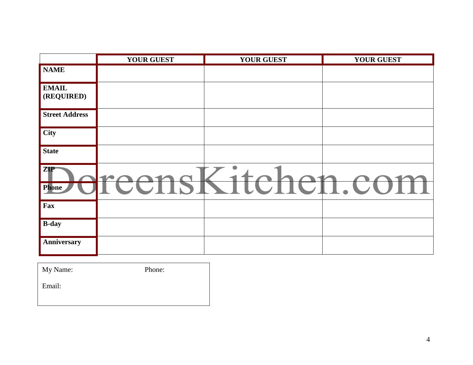|                            | <b>YOUR GUEST</b> | <b>YOUR GUEST</b>   | <b>YOUR GUEST</b> |
|----------------------------|-------------------|---------------------|-------------------|
| <b>NAME</b>                |                   |                     |                   |
| <b>EMAIL</b><br>(REQUIRED) |                   |                     |                   |
| <b>Street Address</b>      |                   |                     |                   |
| <b>City</b>                |                   |                     |                   |
| <b>State</b>               |                   |                     |                   |
| ZIP<br>Phone               |                   | LUIIUI<br>$\sim$ 11 | $\cdot$ C         |
| Fax                        |                   |                     |                   |
| <b>B-day</b>               |                   |                     |                   |
| Anniversary                |                   |                     |                   |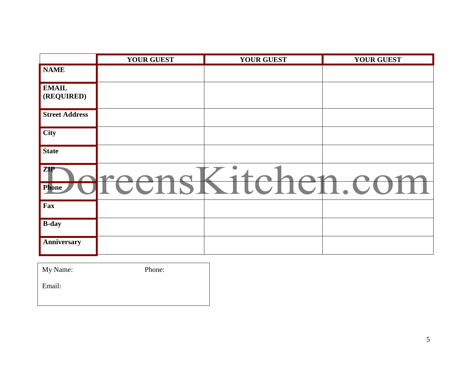|                            | <b>YOUR GUEST</b> | <b>YOUR GUEST</b> | <b>YOUR GUEST</b>  |
|----------------------------|-------------------|-------------------|--------------------|
| <b>NAME</b>                |                   |                   |                    |
| <b>EMAIL</b><br>(REQUIRED) |                   |                   |                    |
| <b>Street Address</b>      |                   |                   |                    |
| <b>City</b>                |                   |                   |                    |
| <b>State</b>               |                   |                   |                    |
| ZIP<br>Phone               | $\mathcal{L}$     | LUIIUI            | <b> UT</b><br>- II |
| Fax                        |                   |                   |                    |
| <b>B-day</b>               |                   |                   |                    |
| Anniversary                |                   |                   |                    |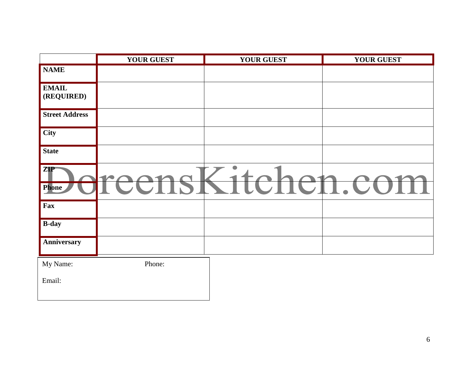|                            | <b>YOUR GUEST</b> | <b>YOUR GUEST</b> | <b>YOUR GUEST</b> |
|----------------------------|-------------------|-------------------|-------------------|
| <b>NAME</b>                |                   |                   |                   |
| <b>EMAIL</b><br>(REQUIRED) |                   |                   |                   |
| <b>Street Address</b>      |                   |                   |                   |
| <b>City</b>                |                   |                   |                   |
| <b>State</b>               |                   |                   |                   |
| <b>ZIP</b><br>Phone        | <b>TA</b>         | CHCH.             | UC                |
| Fax                        |                   |                   |                   |
| <b>B-day</b>               |                   |                   |                   |
| Anniversary                |                   |                   |                   |
| My Name:                   | Phone:            |                   |                   |
| Email:                     |                   |                   |                   |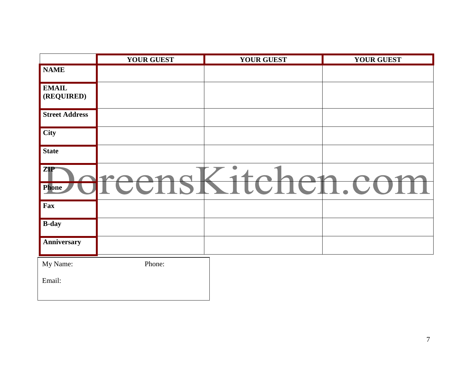|                            | <b>YOUR GUEST</b> | <b>YOUR GUEST</b>    | <b>YOUR GUEST</b> |
|----------------------------|-------------------|----------------------|-------------------|
| <b>NAME</b>                |                   |                      |                   |
| <b>EMAIL</b><br>(REQUIRED) |                   |                      |                   |
| <b>Street Address</b>      |                   |                      |                   |
| City                       |                   |                      |                   |
| <b>State</b>               |                   |                      |                   |
| <b>ZIP</b><br>Phone        | <b>TA</b>         | TU<br>$\blacksquare$ | <b>TT</b>         |
| Fax                        |                   |                      |                   |
| <b>B-day</b>               |                   |                      |                   |
| Anniversary                |                   |                      |                   |
| My Name:                   | Phone:            |                      |                   |
| Email:                     |                   |                      |                   |